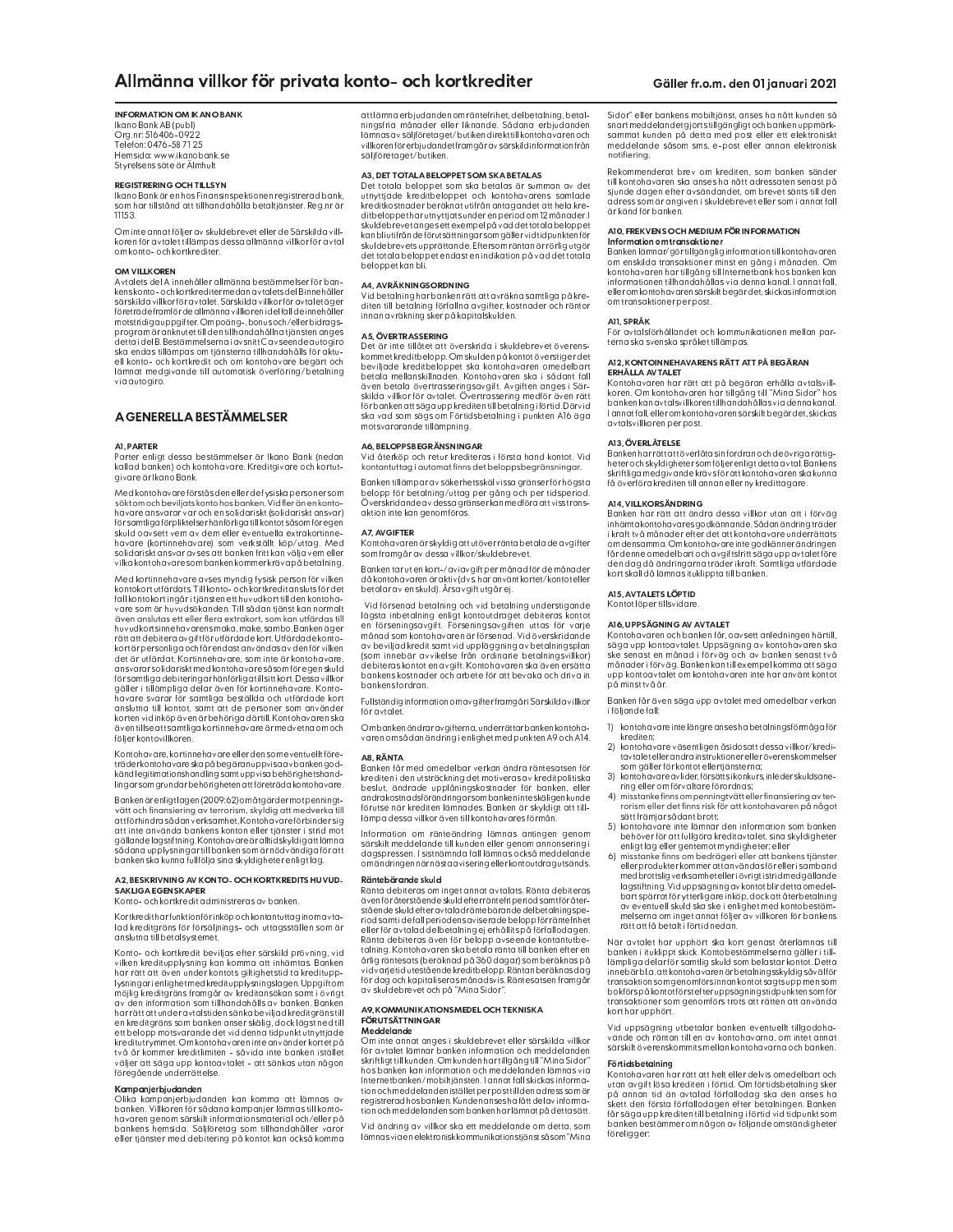# **INFORMATION OM IKANO BANK**

Ikano Bank AB (publ)<br>Org.nr: 516406-0922 Telefon: 0476-587125<br>Hemsida: www.ikanobank.se<br>Styrelsens säte är Älmhult

### **REGISTRERING OCH TILLSYN**

n – Jennestus Jennes Finansinspektionen registrerad bank,<br>Ikano Bank är en hos Finansinspektionen registrerad bank,<br>som har tillstånd att tillhandahålla betaltjänster. Reg.nr är<br>11153.

Om inte annat följer av skuldebrevet eller de Särskilda vill-<br>koren för avtalet tillämpas dessa allmänna villkor för avtal om konto- och kortkrediter.

### **OM VILL KOREN**

Avtalets del Ainnehåller allmänna bestämmelser för ban-Avtalets del Ainmehäller allmänna bestämmelser för band<br>kenskonto-ochkortkrediter medan avtalets del Binnehåller<br>särskilda villkor för avtalet. Särskilda villkor för avtalet äger<br>företräde framförde allmänna villkoreni del ska endas tillämpas om tjänsterna tillhandahålls för aktu-<br>ell konto- och kortkredit och om kontohavare begärt och lämnat medgivande till automatisk överföring/betalning via autoairo

# A GENERELLA BESTÄMMELSER

#### A1. PARTER

s avon som gå sesser sestemmerser en ikento bank (nedan)<br>kallad banken) och kontohavare. Kreditgivare och kortut-<br>givare är Ikano Bank.

Med kontohavare förståsden eller de fysiskapersoner som söktom och beviljats konto hos banken. Vid fler än en konto-<br>havare ansvarar var och en solidariskt (solidariskt ansvar) mavare unsvart ingenför likelser hänförliga tillkontotsåsom föregen<br>församtliga förpliktelser hänförliga tillkontotsåsom föregen<br>skuld oavsett vem av dem eller eventuella extrakortinne-<br>havare (kortinnehavare) som verkstä

Med kortinnehavare avses myndig fysisk person för vilken<br>kontokort utfärdats. Till konto- och kortkreditansluts för det kontokortingår i tjänsten ett huvudkort till den kontoha-<br>Fall kontokortingår i tjänsten ett huvudkort till den kontoha-<br>vare som är huvudsökanden. Till sådan tjänst kan normalt en en som en motosommenen med andet generale in den utfärdas till<br>huvudkortsinnehavarens maka, make, sambo. Banken äger rättattdebitera avgiftförutfärdade kort. Utfärdade konto-<br>kortärpersonliga och får endastanvändas av den för vilken ert är utfärdat. Kortinnehavare, som inte är kontohavare,<br>ansvarar solidariskt med kontohavare såsom för egen skuld<br>för samtliga debiteringar hänförliga till sitt kort. Dessa villkor ion saintingara einem för kortinnehavare. Konto-<br>gäller i tillämpliga delar även för kortinnehavare. Konto-<br>havare svarar för samtliga beställda och utfärdade kort<br>anslutna till kontot, somt att de personer som davider<br>kor även tillse att samtliga kortinnehavare är medvetna om och<br>följer kontovillkoren.

Kontohavare, kortinnehavare eller den som eventuellt före-<br>träder kontohavare ska på begäran uppvisa av bankengodkänd legitimationshandling samt uppvisa behörighetshand-<br>lingar som grundar behörigheten att företrädakontohavare.

Banken är enligtlagen (2009:62) om åtgärder motpenningtuninen und einem genetigte vorstelling av terrorism, skyldig att medverka till<br>attförhindra sådan verksamhet. Kontohavare förbinder sig<br>att inte använda bankens konton eller tjänster i strid mot gällande lagstiftning. Kontohavare är alltid skyldig att lämna<br>sådana upplysningar till banken som är nödvändiga för att banken ska kunna fullfölja sina skyldigheter enligtlag

#### A2. RESKRIVNING AV KONTO-OCH KORTKREDITS HUVUD-SAKLIGAEGENSKAPER

Konto- och kortkredit administreras av banken

Kortkreditharfunktion för inköp och kontantuttag inom avtaind kreditgräns för försäljnings- och uttagsställen som är<br>anslutna till betalsystemet.

Konto- och kortkredit beviljas efter särskild prövning, vid Nonio - och korketini berijast etter sinsknift privilisme.<br>Sanken har rätt att även under kontots giltighetstid ta kreditupp-<br>I ysningar i enlighetstid ta kreditupp-<br>I ysningar i enlighetstid ta kreditupp-<br>I ysningar i enl harrätt att under avtalstiden sänka beviljad kreditgräns till<br>en kreditgräns som banken anser skälig, dock lägst ned till ett belopp motsvarande det vid denna tidpunkt utnyttjade<br>kreditutrymmet. Om kontohavaren inte använder kortet på två år kommer kreditlimiten – såvida inte banken istället<br>väljer att säga upp kontoavtalet – att sänkas utan någon föregående underrättelse.

#### Kampanjerbjudanden

Kampanjerbijvalanden kan komma att lämnas av banken. Villkoren försådana kampanjer lämnas till konto-<br>havaren genom särskilt informationsmaterial och/eller på<br>bankens menom särskilt informationsmaterial och/eller på<br>banken

att lämna erbjudanden om räntefrihet, delbetalning, betalen sammen var det eller liknande. Sådana erbjudanden<br>lämnas av säljföretaget/butiken direkttill kontohavaren och villkorenför erbjudandetframgår av särskild informationfrån säljföretaget/butiken

# A3. DET TOTAL A BELOPPET SOM SKA BETAL AS

Det totala beloppet som ska betalas är summan av det<br>utnyttjade kreditbeloppet och kontohavarens samlade<br>kreditkostnader beräknat utifrån antagandet att hela krekreutikosmaar vervantat uutrati arteen period om 12 månader. I<br>skuldebrevetanges ett exempel på vad det totala beloppet<br>skuldebrevetanges ett exempel på vad det totala beloppet<br>kanbli utifrånde förutsättningar som gäller v beloppet kan bli.

A4. AVRÄKNINGSORDNING<br>Vid betalning har banken rätt att avräkna samtliga på krediten till betalning förfallna avgifter, kostnader och räntor<br>innan avräkning sker på kapitalskulden.

### A5. ÖVERTRASSERING

kommet kreditbelopp. Om skulden på kontot överstiger det<br>beviljade kreditbeloppet ska kontohavaren omedelbart betala mellanskillnaden. Kontohavaren ska i sådant fall<br>även betala mellanskillnaden. Kontohavaren ska i sådant fall skilda villkor för avtalet. Övertrassering medför även rätt<br>förbanken attsäga upp kreditentill betalning i förtid. Därvid ska vad som sägs om Förtidsbetalning i punkten A16 äga<br>motsvararande tillämpning.

#### **A6. RELOPPSREGRÄNSNINGAR**

kontantuttag i automat finns det beloppsbegränsningar

Banken tillämpar av säkerhetsskäl vissa gränser för högsta<br>belopp för betalning/uttag per gång och per tidsperiod.<br>Överskridande avdessa gränser kan medföra att viss transaktion inte kan genomföras.

#### A7. AVGIFTER

Kontohavaren är skyldig att utöver ränta betala de avgifter som framgår av dessa villkor/skuldebrevet.

Banken tar ut en kort-/aviavgift per månad för de månader<br>då kontohavaren är aktiv (dvs. har använt kortet/kontot eller betalar av en skuld). Årsavgift utgår ej.

Vid försenad betalning och vid betalning understigande in un seina a belanning och via belandet debiteras kontot<br>dagsta inbetalning enligt kontoutdraget debiteras kontot<br>en förseningsavgift. Förseningsavgiften uttas för varje månad som kontohavaren är försenad. Vid överskridan $\overline{\mathsf{de}}$  $\begin{array}{l} \vspace{0.1cm} \begin{tabular}{l} \hline \textbf{a} & \textbf{b} & \textbf{c} & \textbf{c} \\ \hline \textbf{b} & \textbf{c} & \textbf{c} & \textbf{c} \\ \hline \textbf{c} & \textbf{c} & \textbf{c} & \textbf{c} \\ \hline \textbf{d} & \textbf{c} & \textbf{c} & \textbf{c} & \textbf{c} \\ \hline \textbf{d} & \textbf{c} & \textbf{c} & \textbf{c} & \textbf{c} & \textbf{c} \\ \hline \textbf{d} & \textbf{c} & \textbf$ bankens kostnader och arbete för att bevaka och driva in bankens fordran.

Fullständig information om avgifter framgår i Särskilda villkor för avtalet.

Om banken ändrar avgifterna, underrättar banken kontohanom sådan ändring i enlighet med punkten A9 och A14.

#### A8. RÄNTA

rannrann.<br>Banken får med omedelbar verkan ändra räntesatsen för kediteni den utsträckning det motiveras av kreditpolitiska<br>beslut, ändrade upplåningskostnader för banken, eller<br>andrakostnadsförändringarsombankeninteskäligenkunde sina saasi vastas saaringas esimes ar kirjalaista saarjoitta talle.<br>Tärutse när krediten lämnades. Banken är skyldigt att till-<br>lämpa dessa villkor äventill kontohavares förmån.

Information om ränteändring lämnas antingen genom särskilt meddelande till kunden eller genom annonsering i<br>dagspressen. I sistnämnda fall lämnas också meddelande om ändringen när nästa avisering eller kontoutdrag utsänds.

# Räntebärande skuld

kans sammas skota<br>Ränta debiteras om inget annat avtalats. Ränta debiteras<br>även för återstående skuld efter räntefri periodsamt för återstående skuld efter avtalad räntebärande delbetalningspe-<br>riod samt i de fall periodens aviserade belopp för räntefrihet Not samma water in delbetalning ej erhållits på förfallodagen.<br>Ränta delbetalning ej erhållits på förfallodagen.<br>Ränta delbitras även för belopp avseende kontantutbe-<br>talning. Kontohavaren ska betala ränta till banken efte vid varjetid utestående kreditbelopp. Räntan beräknas dag<br>för dag och kapitaliseras månadsvis. Räntesatsen framgår<br>av skuldebrevet och på "Mina Sidor".

#### A9. KOMMUNIKATIONSMEDEL OCHTEKNISKA **FÖRUTSÄTTNINGAR** Meddelande

...............<br>Om inte annat anges i skuldebrevet eller särskilda villkor för avtalet lämnar banken information och meddelanden skriftligt till kunden. Om kunden har tillgång till "Mina Sidor"<br>hos banken kan information och meddelanden lämnas via<br>Internetbanken/mobiltjänsten. I annat fall skickas information och meddelanden istället per post till den adress som är<br>registrerad hos banken. Kunden anses ha fått del av information och meddelanden som banken har lämnat på detta sätt.

Vid ändring av villkor ska ett meddelande om detta, som lämnas via en elektronisk kommunikationstjänst så som "Mina Sidor" eller bankens mobiltjänst, anses ha nått kunden så snart meddelandet gjorts tillgängligt och banken uppmärk-<br>sammat kunden på detta med post eller ett elektroniskt meddelande såsom sms, e-post eller annan elektronisk notifiering.

Rekommenderat brev om krediten, som banken sänder till kontohavaren ska anses ha nått adressaten senast på sinnde dagen efter avsändandet, om brevet sänts till den<br>aress som är angiven i skuldebrevet eller som i annat fall<br>är känd för banken.

# A10. FREKVENS OCH MEDIUM FÖR INFORMATION

Author and the anti-particle intervention of the intervention of the intervention of the state of the state of the state of the content of the content of the state of the state of the state intervention of the state interv informationen tillhandahållas via denna kanal. I annatfall,<br>eller om kontohavaren särskilt begärdet, skickas information om transaktioner per post.

#### A11 SPP ÅK

terna ska svenska språket tillämpas

### A12. KONTOINNEHAVARENS RÄTT ATT PÅ BEGÄRAN ERHÂLLA AVTALET

**EXITALLA AV IALE I**<br>Kontohavaren har rätt att på begäran erhålla avtalsvill-<br>koren. Om kontohavaren har tillgång till "Mina Sidor" hos<br>banken kan avtalsvillkoren tillhandahållas via denna kanal. I annatfall, eller om kontohavaren särskilt begär det, skickas avtalsvillkoren per post

# A13. ÖVERL ÅTEL SE

russ.<br>Banken har rätt att överlåta sin fordran och de övriga rättig-<br>heter och skyldigheter som följer enligt detta avtal. Bankens<br>skriftliga medgivande krävs för att kontohavaren ska kunna få överföra krediten till annan eller ny kredittagare.

### AM VILLKORSÄNDRING

inhämta kontohavares godkännande. Sådan ändring träder<br>i kraft två månader efter det att kontohavare underrättats om densamma. Om kontoha vare inte godkänner ändringen en som en en elektristen av en en elektristen av en en elektristen.<br>I den dag då ändringarna träder ikraft. Samtliga utfärdade kort skall då lämna situklippta till banken.

A15. AVTALETS LÖPTID 

# A16. UPP SÄGNING AV AVTALET

Alontohavaren och banken får, oavsett anledningen härtill,<br>säga upp kontoavtalet. Uppsägning av kontohavaren ska<br>ske senast en månad i förväg och av banken senast två<br>ske senast en månad i förväg och av banken senast två<br>m upp kontoavtalet om kontohavaren inte har använt kontot påminst två år.

Banken får även säga upp avtalet med omedelbar verkan<br>i följande fall:

- 1) kontohavare inte längre anses ha betalnings förmåga för krediten:
- kontohavare väsentligen åsidosatt dessa villkor/kredi- $2)$ tavtalet eller andra instruktioner eller överenskommelser
- som gäller för kontot ellertjänsterna;<br>3) kontohavare avlider, försättsi konkurs, inleder skuldsane-
- ring eller om förvaltare förordnas;<br>
4) misstanke finns om penningtvätt eller finansiering av ter-<br>
rorism eller det finns risk för att kontohavaren på något sätt främjar sådant brott;
- sammungar samman den information som banken<br>behöver för att fullgöra kreditavtalet, sina skyldigheter<br>enligt lag eller gentemot myndigheter: eller
- en synsynsel om bedrägerieller att bankens tjänster<br>Spinsstanke finns om bedrägerieller att bankens tjänster<br>eller produkter kommer att användas föreller i samband<br>med brottslig verksamheteller i övrigt i strid med gälland lagstiftning. Vid uppsägning av kontot blir detta omedel-<br>bartspärrat för ytterligare inköp, dock att återbetalning en reparationelle skuld ska ske i enlighet med kontobestäm-<br>melserna om inget annat följer av villkoren för bankens rätt att få betalt i förtid nedan

När avtalet har upphört ska kort genast återlämnas till<br>banken i ituklippt skick. Kontobestämmelserna gäller i till-<br>lämpliga delar församtlig skuld som belastar kontot. Detta lampinga ueuar loi samming soud sont belastin kolind (and the innsplant) innebärbla. att kontohavaren är betalningsskyldig såvälför<br>transaktion som genomförs innan kontotsagtsupp men som<br>bokförs på kontotförst efteruppsägn kort har upphört.

Vid uppsägning utbetalar banken eventuellt tillgodohavande och räntan till en av kontohavarna, om intet annat<br>särskilt överenskommits mellan kontohavarna och banken.

# **Förtidsbetalning**

Kontohavaren har rätt att helt eller delvis omedelbart och<br>utan avgift lösa krediten i förtid. Om förtidsbetalning sker oran avgin tosa arealant förfallodag ska den anses ha<br>skett den första förfallodagen efter betalningen. Banken<br>får säga upp krediten till betalning i förtid vid tidpunkt som banken bestämmer om någon av följande omständigheter föreligger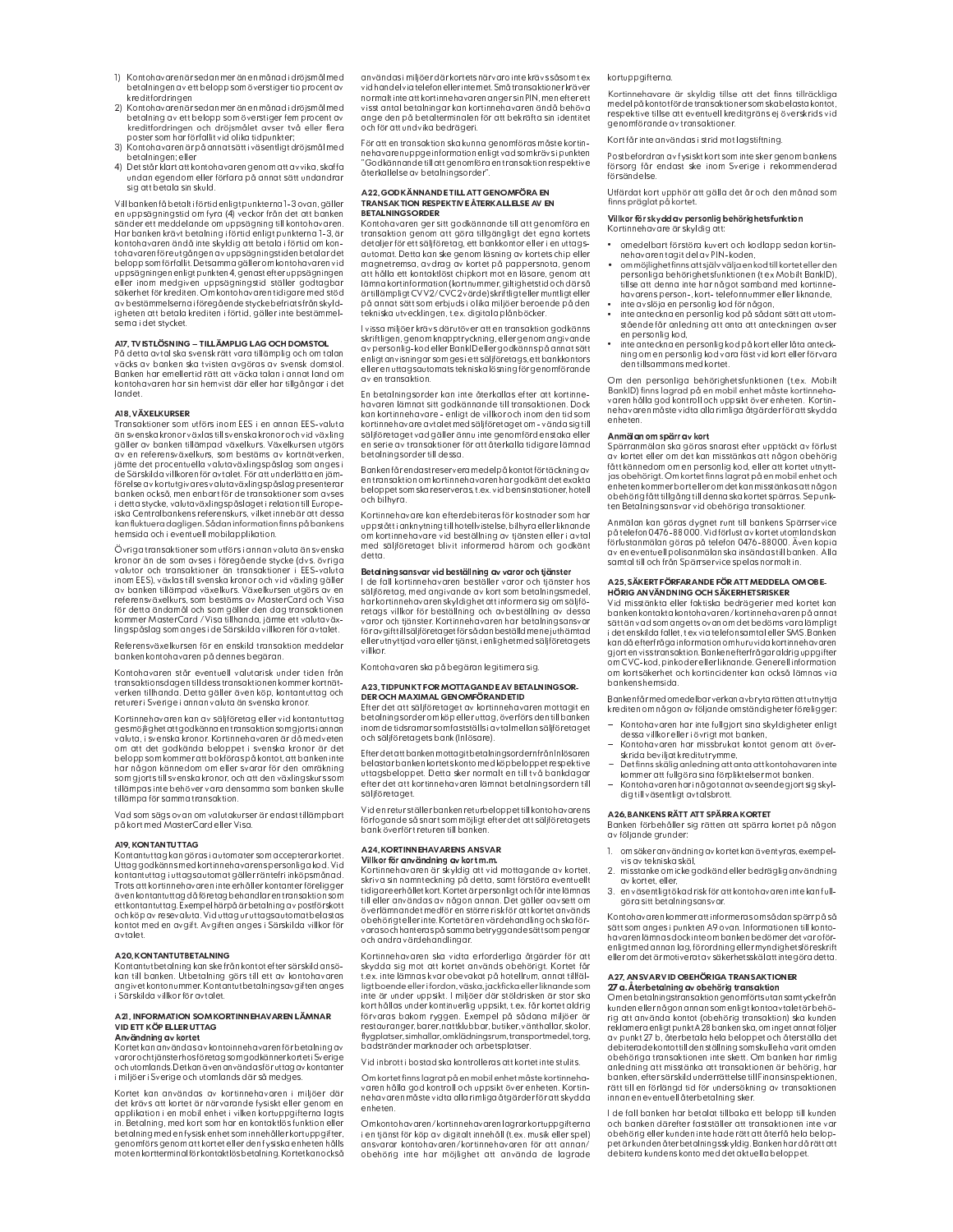- 1) Kontohavaren är sedan mer än en månadi dröjsmål med betalningen av ett belopp som överstiger tio procent av kreditfordringen<br>2) Kontohavaren är sedan mer än en månadi dröjsmål med
- international de la procent de la procent de la procent de la procent de la procent de la procent de la procent de la procent de la procent de la procent de la procent de la procent de la procent de la procent de la procen noster som har förfallit vid olika tidnunkter
- 3) Kontohavarenärpåannatsätti väsentligt dröjsmålmed betalningen; eller
- 4) Det stårklart att kontohavaren genom att avvika, skaffa<br>undan egendom eller förfara på annat sätt undandrar sig att betala sin skuld.

Vill banken få betalt i förtid enligt punkterna 1-3 ovan, gäller<br>en uppsägningstid om fyra (4) veckor från det att banken sänder ett meddelande om uppsägning till kontohavaren.<br>Har banken krävt betalning i förtid enligt punkterna 1-3, är<br>kontohavaren ändå inte skyldig att betala i förtid om kontohavaren före utgången av upp sägningstiden betalar det<br>belopp som förfallit. Detsamma gäller om kontohavaren vid en oppsägningen enligt punkten 4. genast efter uppsägningen<br>eller inom medgiven uppsägningstid ställer godtagbar<br>eller inom medgiven uppsägningstid ställer godtagbar<br>säkerhet för krediten. Om kontohavaren tidigare med stöd av bestämmelserna i föregående stycke befriats från skyld-<br>igheten att betala krediten i förtid, gäller inte bestämmelsernai det stycket.

#### AI7. TVISTLÖSNING - TILLÄMPLIG LAG OCH DOMSTOL

väcks av banken ska tvisten avgöras av svensk domstol.<br>Banken har emellertid rätt att väcka talan i annat land om kontohavaren har sin hemvist där eller har tillgångar i det landet.

### A18. VÄXELKURSER

.<br>Transaktioner som utförs inom EES i en annan EES-valuta än svenska kronor växlas till svenska kronor och vid växling<br>än svenska kronor växlas till svenska kronor och vid växling<br>gäller av banken tillämpad växelkurs. Växelkursen utgörs av en referensväxelkurs, som bestäms av kortnätverken,<br>jämte det procentuella valutaväxlingspåslag som anges i de Särskilda villkoren för avtalet. För att underlätta en jämse sens mass range and the mass of the sense of the sense rate of the sense rate of the sense in the sense is<br>banken också, men enbart för de transaktioner som avses kan fluktuera dagligen. Sådan information finns på bankens hemsida och i eventuell mobilapplikation.

Övriga transaktioner som utförs i annan valuta än svenska kronor än de som avses i föreaående stycke (dvs. övriga walutor och transaktioner än transaktioner i EES-valuta<br>inom EES), växlas till svenska kronor och vid växling gäller nnom ezs), vaxas un svenska kronor och via vaximing galler<br>av banken tillämpad växelkurs. Växelkursen utgörs av en<br>referensväxelkurs, som bestäms av MasterCard och Visa<br>för detta ändamål och som gäller den dag transaktione lingspåslag som anges i de Särskilda villkoren för avtalet.

Referensväxelkursen för en enskild transaktion meddelar banken kontohavaren på dennes begäran

Kontohavaren står eventuell valutarisk under tiden från<br>transaktionsdagen tilldesstransaktionenkommerkortnätverken tillhanda. Detta gäller även köp, kontantuttag och<br>returer i Sverige i annan valuta än svenska kronor.

Kortinnehavaren kan av säljföretag eller vid kontantuttag gesmöjlighetatt godkänna en transaktion som gjortsi annan<br>valuta, i svenska kronor. Kortinnehavaren är då medveten om att det godkända beloppet i svenska kronor är det om at act good and act opposite in section of the belop som kommer att bokföras på kontot, att banken inte<br>har någon kännedom om eller svarar för den omräkning<br>som gjorts till svenska kronor, och att den växlingskurs som tillämpas inte behöver vara densamma som banken skulle tillämpa för samma transaktion.

Vad som sägs ovan om valutakurser är endast tillämpbart<br>på kort med MasterCardeller Visa.

# A19. KONTANTUTTAG

Kontantuttag kan görasi automater som accepterar kortet.<br>Uttag godkänns med kortinnehavarens personliga kod. Vid<br>kontantuttag i utagsautomat gäller räntefri inköpsmånad.<br>Trots att kortinnehavaren inte erhåller kontanter fö verkontantinuudega avaroiedag erinnandi erinnanskunnandi<br>ettkontantitlag, Exempelhärpå är betalning av postförskott<br>och köp av resevaluta. Vid uttag ur uttagsautomat belastas<br>kontot med en avgift. Avgiften anges i Särskild avtalet.

A20. KONTANTUTBETALNING<br>Kontantutbetalning kan ske från kontot efter särskild ansökan till banken. Utbetalning görs till ett av kontohavaren<br>angivet kontohavmen Charles och angivet kontohavaren i Särskilda villkor för avtalet.

### A 21 INFORMATION SOM KORTINNEHAVAREN I ÄMNAR VIDETT KÖP ELLER UTTAG

Anv**ändning av kortet**<br>Kortet kan användas av kontoinnehavaren för betalning av varor ochtjänsterhos företag som godkänner korteti Sverige<br>och utomlands. Det kan även användas för uttag av kontanter i miljöer i Sverige och utomlands där så medges.

Kortet kan användas av kortinnehavaren i miljöer där det krävs att kortet är närvarande fysiskt eller genom en<br>applikation i en mobil enhet i vilken kortuppgifterna lagts in. Betalning, med kort som har en kontaktiös funktion eller<br>betalning med en fysisk enhet som innehåller kortuppgifter, genomförs genom att kortet eller den fysiska enheten hålls motenkortterminal för kontaktlös betalning. Kortetkan också användas i miljö er där kortets närvaro inte krävs såsom t ex<br>vid handel via telefon eller internet. Små transaktioner kräver normalt inte att kortinnehavaren anger sin PIN, men efter ett<br>visst antal betalningar kan kortinnehavaren ändå behöva onge den på betaltermindlen för att bekräfta sin identitet<br>och för att undvika bedrägeri.

För att en transaktion ska kunna genomföras måste kortinnehavaren uppge information enligtvad som krävs i punkten<br>"Godkännande till att genomföra entransaktion respektive återkallelse av betalningsorder".

#### A22. GODKÄNNANDE TILL ATT GENOMFÖR A EN TRANSAKTION RESPEKTIVE ÅTERKALLELSE AV EN **BETALNING SORDER**

Kontohavaren ger sitt godkännande till att genomföra en transaktion genom att göra tillgängligt det egna kortets<br>detaljer för ett säljföretag, ett bankkontor eller i en uttagsautomat. Detta kan ske genom läsning av kortets chip eller<br>magnetremsa, avdrag av kortet på pappersnota, genom att hålla ett kontaktlöst chipkort mot en läsare, genom att<br>att hålla ett kontaktlöst chipkort mot en läsare, genom att ärtillämpligtCVV2/CVC2 värde)skriftligteller muntligteller<br>på annatsätt som erbjuds i olika miljöer beroende på den .<br>tekniska utvecklingen, t.ex. digitala plånböcker.

l vissa miljöer krävs därutöver att en transaktion godkänns skriftligen, genom knapptryckning, eller genom angivande<br>av personlig-kod eller BanklD eller godkänns på annat sätt enligtanvisningar som ges i ett säljföretags, ett bankkontors<br>eller en uttagsautomatstekniska lösning för genomförande av entransaktion.

En betalningsorder kan inte återkallas efter att kortinnehavaren lämnat sitt godkännande till transaktionen. Dock<br>kan kortinnehavare - enligt de villkor och inom den tid som kortinnehavare avtalet med säljföretaget om - vända sig til säljföretaget vad gäller ännu inte genomförd enstaka eller<br>en serie av transaktioner för att återkalla tidigare lämnad betalningsorder till dessa.

Banken får endastreservera medel på kontot för täckning av en transaktion om kortinnehavaren har godkänt det exakta beloppet som ska reserveras, t.ex. vid bensinstationer, hotel och bilhyra

Kortinnehavare kan efterdebiteras för kostnader som har uppståtti anknytning till hotellvistelse, bilhyra eller liknande om kortinnehavare vid beställning av tiänsten eller i avta med säljföretaget blivit informerad härom och godkänt detta

# Betalningsansvar vid beställning av varor och tjänster

l de fall kortinnehavaren beställer varor och tjänster hos<br>säljföretag, med angivande av kort som betalningsmedel, har kortinnehavaren skyldighet att informera sig om säljfö-<br>retags villkor för beställning och avbeställning av dessa varor och tiänster. Kortinnehavaren har betalningsansvai varia varia parison i Konstantino variante parisonalista de la registrata del registrato del parisono el elemento del parte del registrato del elemento del registrato del registrato del registrato del registrato del regist villkor

Kontohavaren ska på begäran legitimera sig.

#### A23. TIDPUNKTFOR MOTTAGANDE AV BETALNINGSOR-DER OCH MAXIMAL GENOMFÖR ANDETID

Efter det att säljföretaget av kortinnehavaren mottagit en<br>betalningsorder om köp eller uttag, överförs den till banken<br>inom de tidsramar som fastställs i avtal mellan säljföretaget och säljföretagets bank (Inlösare).

Efter det att banken mottag it betalningsordern från Inlösaren<br>belastar banken kortetskonto med köpbel oppet respektive uttaasbeloppet. Detta sker normalt en till två bankdagar یا پیچانه اور در دوسته در دوسته در دوسته در دوسته در دوسته در دوسته و etter det att kortinnehavaren lämnat betalningsordern till<br>Säljföretaget.

Viden retur ställer banken returbel oppet till kontohavarens r varmen anden anden möjligt efter det att säljföretagets<br>förfogande så snart som möjligt efter det att säljföretagets<br>bank överfört returen till banken.

# **A24. KORTINNEHAVARENS ANSVAR**

<mark>Villkor för användning av kort m.m.</mark><br>Kortinnehavaren är skyldig att vid mottagande av kortet, skriva sin namnteckning på detta, samt förstöra eventuellt<br>tidigareerhålletkort.Kortetär personligtoch får intelämnas till eller användas av någon annan. Det gäller oavsett om överlämnandet medför en större risk för att kortet används<br>obehörigt ellerinte. Kortet är en värdehandling och ska förvarasochhanteraspåsamma betryggande sättsom pengar<br>och andra värdehandlingar.

Kortinnehavaren ska vidta erforderliga åtgärder för att<br>skydda sig mot att kortet används obehörigt. Kortet får tex, inte lämnas kvar obevakat på hotellrum, annat tillfäl-<br>ligt boende eller ifordon, väska, jackficka eller liknande som igt over de einer invloutie, vasa, jouen kan de la tief de staden en kanne som tief in kort hållets under konst<br>de staden i staden i staden i staden i staden i staden i staden i staden i staden i staden i staden i staden i flygplatser, simhallar, omklädningsrum, transportmedel, torg, badstränder marknader och arbetsplatser.

Vidinbrott i bostad ska kontrolleras att kortet inte stulits.

Om kortet finns lagrat på en mobil enhet måste kortinnehavaren hålla god kontroll och uppsikt över enheten. Kortin-<br>nehavaren måste vidta alla rimliga åtgärder för attskydda

Om kontohavaren/kortinnehavarenlagrarkortuppgifterna<br>i en tjänst för köp av digitalt innehåll (t.ex. musik eller spel) constant to into havaren/kortinnehavaren för att annan/<br>obehörig inte har möjlighet att använda de lagrade

# kortuppgifterna.

Kortinnehavare är skyldig tillse att det finns tillräckliga<br>medelpåkontotfördetransaktionersomskabelastakontot, respektive tillse att eventuell kreditgräns ej överskrids vid<br>genomförande av transaktioner.

Kortfår inte användas i strid mot laastiftning

Postbefordran av fysiskt kort som inte sker genom bankens försorg får endast ske inom Sverige i rekommenderad

Utfärdat kort upphör att gälla det år och den månad som finns präglat på kortet

# Villkor för skydd av personlig behörighetsfunktion<br>Kortinnehavare är skyldig att:

- omedelbart förstöra kuvert och kodlapp sedan kortinnehavaren tagit del av PIN-koden,
- commöjlighetfinns att själv välja en kod till kortet eller den<br>personliga behörighetsfunktionen (t ex Mobilt BanklD),<br>tillse att denna inte har något samband med kortinne-
- navarens person-, kort- telefonnumm er eller liknande<br>inte avslöja en personlig kod för någon.
- inte anteckna en personlig kod på sådant sätt att utom-<br>stående får anledning att anta att anteckningen avser en personlig kod,<br>inte anteckna en personlig kod på kort eller låta anteck-
- ning om en personlig kod vara fäst vid kort eller förvara<br>den tillsammans med kortet.

Om den personliga behörighetsfunktionen (t.ex. Mobilt<br>BankID) finns lagrad på en mobil enhet måste kortinneha-<br>varen hålla god kontroll och uppsikt över enheten. Kortinnehavaren måste vidta alla rimliga åtgärder för att skydda enheten

**Anmälan om spärr av kort**<br>Spärranmälan ska göras snarast efter upptäckt av förlust<br>av kortet eller om det kan misstänkas att någon obehörig fått kännedom om en personlig kod, eller att kortet utnytt-<br>jas obehörigt. Om kortet finns lagrat på en mobil enhet och enheten kommer bort eller om det kan misstänkas att någon obehörig fått tillgång till denna ska kortet spärras. Se punkten Betalningsansvar vid obehöriga transaktioner.

Anmälan kan göras dygnet runt till bankens Spärrservice påtelefon 0476-88000. Vidförlust av kortet utomlands kan<br>förlustanmälan göras på telefon 0476-88000. Även kopia av en eventuell polisanmälan ska insändas till banken. Ålla<br>samtal till och från Spärrservice spelas normalt in.

#### 425. SÄKERT FÖRFARANDE FÖR ATT MEDDELA OM OBE-HÖRIG ANVÄNDNING OCH SÄKERHETSRISKER

Vid misstänkta eller faktiska bedrägerier med kortet kan banken kontakta kontohavaren/kortinnehavaren på annat sätt än vad som angetts ovan om det bedömsvara lämpligt<br>sätt än vad som angetts ovan om det bedömsvara lämpligt<br>i det enskilda fallet, t ex via telefonsamtal eller SMS. Banken - kan då efterfråga information om huruvida kortinnehavaren<br>gjort envisstransaktion. Banken efterfrågar aldrig uppgifter<br>om CVC-kod, pinkoder eller liknande. Generell information om kortsäkerhet och kortincidenter kan också lämnas via bankenshemsida.

Bankenfår med omedelbar verkan avbryta rätten att utnyttja krediten om någon av följande omständigheter föreligger:

- Kontohavaren har inte fullgjort sina skyldigheter enligt<br>dessa villkor eller i övrigt mot banken,
- Kontohavaren har missbrukat kontot genom att över-<br>skrida beviljat kreditutrymme,<br>Det finns skälig anledning att anta att kontohavaren inte
- kommer att fullgöra sina förpliktelser mot banken.<br>Konto havaren har i något annat avseende gjortsig skyl-
- dig till väsentligt avtalsbrott.

### A26. BANKENS RÄTT ATT SPÄRRA KORTET

Banken förbehåller sig rätten att spärra kortet på någon av följande grunder:

- om säker användning av kortet kan äventyras, exempel-
- vis av tekniska skäl,<br>2. misstanke om icke godkänd eller bedräglig användning avkortet eller
- en väsentligt ökad risk för att kontohavaren intekan full-3. göra sitt betalningsansvar.

Kontohavaren kommer attinformeras om sådan spärr på så sätt som anges i punkten A9 ovan. Informationen till konto-<br>havarenlämnas dockinte om banken bedömer det var oförenligt med annan lag, förordning eller myndighetsföreskrift<br>eller om det är motiveratav säkerhetsskäl att inte göra detta.

# **A27. ANSVAR VID OBEHÖRIGA TRANSAKTIONER**

**27 a. Återbetalning av obehörig transaktion**<br>Omen betalningstransaktion genomförts utansamtycke från kunden eller någon annan som enligt kontoavtalet är behö-ev punkt 27 b, återbetala hela beloppet och återställa det<br>debiterade kontot till den ställning som skulle ha varit om den obehöriga transaktionen inte skett. Om banken har rimlig<br>anledning att misstänka att transaktionen är behörig, har banken, efter särskild underrättelse till Finansinspektionen,<br>rätt till en förlängd tid för undersökning av transaktionen innan en eventuell återbetalning sker.

I de fall banken har betalat tillbaka ett belopp till kunden och banken därefter fastställer att transaktionen inte var<br>obehörig eller kunden inte hade rätt att återfå hela belopnetär kunden återhetalningsskyldig. Banken har då rättatt debitera kundens konto med det aktuella beloppet.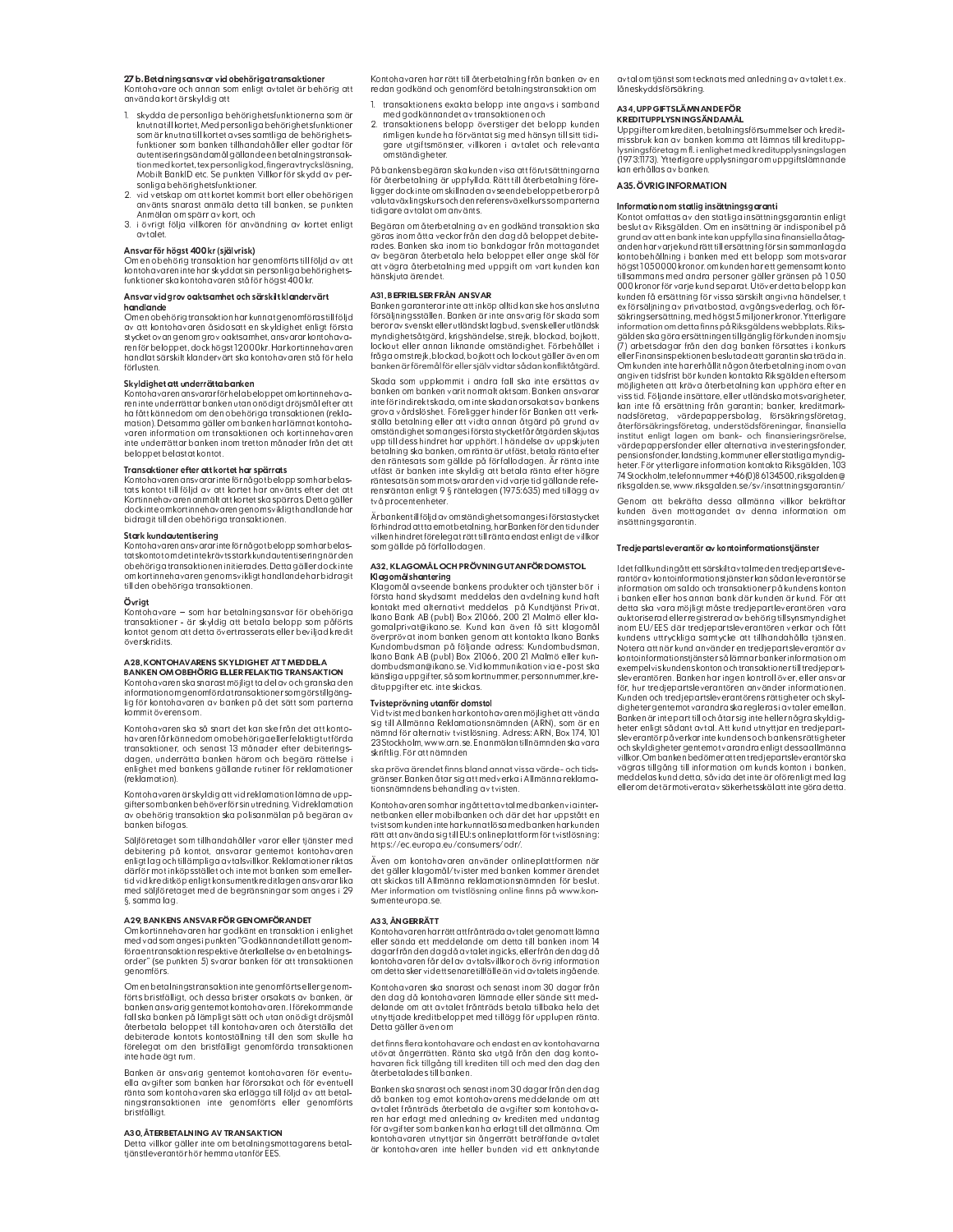#### 27 b. Betalningsansvar vid obehöriga transaktioner Kontohavare och annan som enligt avtalet är behörig att

använda kort är skyldig att

- 1. skydda de personliga behörighetsfunktionerna som är knutna till kortet. Med personliga behörjahetsfunktioner som är knutna till kortet avses samtliga de behörighets-<br>funktioner som banken tillhandahåller eller godtar för outentiseringsändamål gällande en betalningstransak-<br>tion med kortet, tex personlig kod, fingeravtrycksläsning, Mobilt BankID etc. Se punkten Villkor för skydd av personliga behörighetsfunktioner.<br>2. vid vetskap om att kortet kommit bort eller obehörigen
- använts snarast anmäla detta till banken, se punkten Anmälan om spärr av kort, och
- 3. i övrigt följa villkoren för användning av kortet enligt<br>avtalet.

# Ansvar för högst 400 kr (självrisk)

Om en obehörig transaktion har genomförts till följd av att<br>kontohavareninte har skyddat sin personliga behörighetsfunktioner skakontohavaren stå för högst 400 kr.

#### Ansvar vid arov oaktsamhet och särskilt klandervärt handlande

ow att kontohavaren åsidosatt en skyldighet enligt första<br>stycketovan genom grov oaktsamhet, ansvarar kontohavaren för beloppet, dock högst12 000 kr. Har kortinnehavaren<br>handlat särskilt klandervärt ska kontohavaren stå för hela förlusten

## Skyldighet att underrätta banken

reninte underrättar banken utan onödigt dröjsmål efter att ha fått kännedom om den obehöriga transaktionen (rekla-<br>mation). Detsamma gäller om banken har lämnat kontohawaren information om transaktionen och kortinnehavaren<br>inte underrättar banken inom tretton månader från det att beloppet belastat kontot.

### Transaktioner efter att kortet har spärrats

Kontohavaren ansvarar inte förnågot beloppsom har belas-<br>tats kontohavaren ansvarar inte förnågot beloppsom har belas-<br>tats kontot till följd av att kortet har använts efter det att Kortinnehavaren anmält att kortet ska spärras. Detta gäller<br>dock inte om kortinnehavaren genom svikligt handlande har bidragit till den obehöriga transaktionen.

<mark>Stark kundautentisering</mark><br>Kontohavarenansvarar inteför något beloppsom har belastatskontot om det inte krävtsstark kundautentiserina när den obehöriga transaktionen initierades. Detta gäller dock inte om kortinnehavaren genom svikligt handlande har bidragit till den obehöriga transaktionen

### Övrigt

Kontohavare – som har betalningsansvar för obehöriga transaktioner – är skyldig att betala belopp som påförts<br>kontot genom att detta övertrasserats eller beviljad kredit överskridits.

#### A28. KONTOHAVARENS SKYLDIGHET ATT MEDDELA BANKEN OM OBEHÖRIG ELLER FEL AKTIG TRANSAKTION

Kontohavaren ska snarast möjligt ta del av och granska den information om genomförda transaktioner som gör still gänglig för kontohavaren av banken på det sätt som parterna mmit överens om.

Kontohavaren ska så snart det kan ske från det att kontohavaren får kännedom om obehöriga eller felaktigt utförda transaktioner, och senast 13 månader efter debiteringsdagen, underrätta banken härom och begära rättelse i<br>enlighet med bankens gällande rutiner för reklamationer (reklamation)

Kontohavaren är skyldig att vid reklamation lämnade upp-<br>gifter som banken behöver för sin utredning. Vid reklamation av obehörig transaktion ska polisanmälan på begäran av<br>banken bifogas.

Säljföretaget som tillhandahåller varor eller tjänster med debitering på kontot, ansvarar gentemot kontohavaren enligt lag och tillämpliga avtalsvillkor. Reklamationer riktas<br>därför mot inköpsstället och inte mot banken som emellertid vid kreditköp enligt konsumentkreditlagen ansvarar lika med säljföretaget med de begränsningar som anges i 29 §, sammalag.

## A29. BANKENS ANSVAR FÖR GENOMFÖRANDET

förgentransaktion respektive återkallelse av en betalningsorder" (se punkten 5) svarar banken för att transaktionen aenomförs.

Om en betalningstransaktion integenomförts eller genom-Förts bristfälligt, och dessa brister orsakats av banken, är<br>banken ansvarig gentemot kontohavaren. Iförekommande salliska banken på lämpligt sätt och utan onödigt dröjsmål<br>I ska banken på lämpligt sätt och utan onödigt dröjsmål<br>återbetala beloppet till kontohavaren och återställa det debiterade kontots kontoställning till den som skulle ha förelegat om den bristfälligt genomförda transaktionen inte hade ägt rum

Banken är ansvarig gentemot kontohavaren för eventu-<br>ella avgifter som banken har förorsakat och för eventuell<br>ränta som kontohavaren ska erlägga till följd av att betal-

#### A30. ÅTERBETALNING AV TRANSAKTION

Detta vilkor aäller inte om betalningsmottaggrens betaltjänstleverantör hör hemma utanför EES

Kontohavaren har rätt till återbetalning från banken av en redan godkänd och genomförd betalningstransaktion on

- 1. transaktionens exakta belopp inte angavs i samband med godkännandet av transaktionen och
- 2. transaktionens belopp överstiger det belopp kunden rimligen kunde ha förväntat sig med hänsyn till sitt tidl-<br>gare utgiftsmönster, villkoren i avtalet och relevanta omständigheter.

På bankens begäran ska kunden visa att förutsättningarna<br>för återbetalning är uppfyllda. Rätt till återbetalning föreligger dock inte om skilln aden avseen de beloppet beror på<br>valutaväxlingskurs och den referens växelkurs som parterna tidigare avtalat om använts.

Begäran om återbetalning av en godkänd transaktion ska segararismi atta veckor från den dag då beloppet debite-<br>rades. Banken ska inom tio bankdagar från mottagandet<br>av begäran återbetala helo beloppet eller ange skäl för<br>att vägra återbetalning med uppgift om vart kunden kan<br> hänskjuta ärendet.

#### A31. BEFRIEL SER FRÅN ANS VAR

Banken garanterar inte att inköp alltid kan ske hos anslutna<br>försäljningsställen. Banken är inte ansvarig för skada som beroravsvensktellerutländsktlagbud, svensk ellerutländsk<br>myndighetsåtgärd, krigshändelse, strejk, blockad, bojkott, in jinaigineisatgara, migsinainasisel sitelli sisemaaliselliselli<br>lockout eller annan liknande omständighet. Förbehållet i fråga om strejk, blockad, bojkott och lockout gäller även om<br>banken är föremål för eller själv vidtar sådan konfliktåtgärd.

Skada som uppkommit i andra fall ska inte ersättas av banken om banken varit normalt aktsam. Banken ansvarar inte för indirekt skada, om inte skadan orsakats av bankens grova vårdslöshet. Föreligger hinder för Banken att verkställa betalning eller att vidta annan åtgärd på grund av<br>omständighet som anges i första stycket får åtgärden skjutas upp till dess hindret har upphört. Í händelse av uppskjuten<br>betalning ska banken, om ränta är utfäst, betala ränta efter den räntesats som gällde på förfallodagen. Är ränta inte<br>utfäst är banken inte skyldig att betala ränta efter högre räntesats än som motsvarar den vid varjetid gällanderefe-<br>rensräntan enligt 9 § räntelagen (1975:635) med tillägg av två procentenheter.

Är banken till följd av omständighet som anges i första stycket förhindrad att ta emotbetalning, har Banken för den tid under<br>vilken hindret förelegat rätt till ränta endast enligt de vilkor<br>som gällde på förfallodagen.

# A32. KL AGOM ÅL OCH PRÖVNING UTANFÖR DOMSTOL **Klagomålshantering**<br>Klagomål avseende bankens produkter och tjänster bör i

Kosta hand skydsamt meddelas den avdelning kund haft<br>Kontakt med alternativt meddelas på Kundtjänst Privat,<br>Ikano Bank AB (publ) Box 21066, 200 21 Malmö eller klasomalprivat@ikano.se. Kund kan även få sitt klagomål<br>överprövat inom banken genom att kontakta Ikano Banks Kundombudsman på följande adress: Kundombudsman,<br>Ikano Bank AB (publ) Box 21066, 200 21 Malmö eller kundombudsman@ikano.se. Vidkommunikation via e-post ska känsliga uppgifter, så som kortnummer, personnum dituppgifter etc. inte skickas.

#### Tvisteprövning utanför domstol

visteprovining otanion domston<br>Vidtvistmed banken har kontohavaren möjlighetattvända<br>sig till Allmänna Reklamationsnämnden (ARN), som är en<br>nämnd för alternativ tvistlösning. Adress: ARN, Box 174, 101<br>23 Stockholm, www.arn skriftlig. För att nämnden

ska pröva ärendet finns bland annat vissa värde- och tidsska protostanska kalendar som av starte i Allmänna reklamat<br>gränser. Banken åtar sig att medverka i Allmänna reklamat<br>tionsnämndens behandling av tvisten.

Kontohavarensom haringått ett avtal med banken via inter<mark>-</mark> netbanken eller mobilbanken och där det har uppstått en<br>tvistsomkunden inte harkunnatlösamedbanken harkunden rätt att använda sia till EU:s onlineplattform för tvistlösning: https://ec.europa.eu/consumers/odr/.

Även om kontohavaren använder onlineplattformen när et gäller klagomål/tvister med banken kommer ärendet<br>att skickas till Allmänna reklamationsnämnden för beslut. Mer information om tvistlösning online finns på www.konsumenteuropa.se.

#### A33. ÅNGERRÄTT

Kontohavaren harrättattfrånträda avtaletgenom attlämna<br>eller sända ett meddelande om detta till banken inom 14 dagar från den dag då avtaletingicks, eller från den dag då<br>kontohavaren får del av avtalsvillkor och övrig information om detta sker vid ett senare tillfälle än vid avtalets ingående.

Kontohavaren ska snarast och senast inom 30 dagar frånden dag då kontohavaren lämnade eller sände sitt med-<br>delande om att avtalet frånträds betala tillbaka hela det<br>utnyttjade kreditbeloppet med tillägg för upplupen ränta Detta gäller även om

det finns flera kontohavare och endast en av kontohavarna utövat ångerrätten. Ränta ska utgå från den dag konto-<br>havaren fick tillgång till krediten till och med den dag den återbetalades till banken.

Banken ska snarast och senast inom 30 dagar från den dag då banken tog emot kontohavarens meddelande om att<br>avtalet frånträds återbetala de avgifter som kontohavaren har erlagt med anledning av krediten med undantag<br>för avgifter som banken kan ha erlagt till det allmänna. Om kontoĥavaren utnyttjar sin ångerrätt beträffande avtalet<br>är kontohavaren inte heller bunden vid ett anknytande avtal om tjänst som tecknats med anledning av avtalet t.ex låneskyddsförsäkring

#### A34 UPPGIETSLÄMNANDE FÖR KREDITUPPLYSNINGSÄNDAMÅL

Uppgifter om krediten, betalningsförsum melser och kreditmissbruk kan av banken komma att lämnas till kreditupplysningsföretag m fl. i enlighet med kreditupplysningslagen .<br>1973:1173). Ytterligare upplysningar om uppgiftslämnande kan erhållas av banken

# A35. ÖVRIG INFORMATION

**Information om statlig insättningsgaranti**<br>Kontot omfattas av den statliga insättningsgarantin enligt beslut av Riksgälden. Om en insättning är indisponibel på grund av att en bank inte kan uppfylla sina finansiella åtag-<br>anden har varje kund rätt till ersättning för sin sammanlagda kontobehållning i banken med ett belopp som motsvara högst 1050000 kronor, om kunden har ett gemensamt konte tillsammans med andra personer gäller gränsen på 1 050 000 kronor för varje kund separat. Utöver detta belopp kan<br>kunden få ersättning för vissa särskilt angivna händelser, t ex försäljning av privatbostad, avgångsvederlag, och för-<br>ex försäljning av privatbostad, avgångsvederlag, och för-<br>säkringsersättning, med högst 5 miljonerkronor. Ytterligare information om detta finns på Riksaäldens webbplats. Riksan terminen ten terminen permangan termine perusaan.<br>gälden skagöra ersättningen tillgänglig för kunden inom sju (7) arbetsdagar från den dag banken försattes i konkurs eller Finansinspektionen beslutade att garantin ska träda in.<br>Om kunden inte har erhållit någon återbetalning inom ovan angiven tidsfrist bör kunden kontakta Riksgälden eftersom<br>möjligheten att kräva återbetalning kan upphöra efter en viss tid. Följande insättare, eller utländska motsvarigheter,<br>kan inte få ersättning från garantin; banker, kreditmark- $\label{thm:main} \textit{nadsföretag}, \quad \textit{värdepappersbolag}, \quad \textit{försäkringsföretag}, \\ \textit{dterförsäkringsföretag}, \textit{understödsföreningar}, \textit{finansiella} \\ \textit{institut enligt lagen om bank- och finansieringsrörelse}, \\ \textit{hamsieringsrörelse}, \\ \textit{hamsieringsrörelse}, \\ \textit{hamsieringsrörelse}, \\ \textit{hamsieringsrörelse}, \\ \textit{hamsieringsrörelse}, \\ \textit{hamsieringsrörelse}, \\ \textit{hamsieringsrörelse}, \\ \textit{hams$ värdepappersfonder eller alternativa investeringsfonder, ensionsfonder, landsting, kommuner eller statlig a myndig-<br>heter. För ytterligare information kontakta Riksgälden, 103 74 Stockholm, telefonnummer +46(0)8 613 4500, riksgalden@ riksaalden se, www.riksaalden se/sv/insattninasaarantin/

Genom att bekräfta dessa allmänna villkor bekräftar kunden även mottagandet av denna information om<br>Insättningsgarantin.

#### Trediepartsleverantör av kontoinformationstiänster

I detfall kundingått ett särskilt avtal med entrediepartsleverantör av kontoinformationstjänster kan sådan leverantör se information om saldo och transaktioner på kundens konton i banken eller hos annan bank där kunden är kund. För att<br>detta ska vara möjligt måste tredjepartleverantören vara auktoriserad eller registrerad av behörig tillsynsmyndighet<br>inom EU/EES där tredjepartsleverantören verkar och fått kundens uttryckliga samtycke att tillhandahålla tjänsten n veran att när kund använder en tredjepartsleverantör av Notera att när kund använder en tredjepartsleverantör<br>kontoinformationstjänster så lämnar banker information om exempelviskundenskonton och transaktioner tilltredjepart-<br>sleverantören. Banken har ingen kontroll över, eller ansvar för, hur tredjepartsleverantören använder informationen.<br>Kunden och tredjepartsleverantörens rättigheter och skyldigheter gentemot varandra ska regleras i avtaler emellan eigneter gemeiner varammen aus eine heller några skyldig-<br>Banken är inte part till och åtar sig inteheller några skyldig-<br>heter enligt sådant avtal. Att kund utnyttjar en tredjepartsleverantör påverkar inte kundens och bankens rättigheter och skyldigheter gentemot varandra enligt dessa allmänna villkor. Om banken bedömeratt en tredjepartsleverantör ska<br>vägras tillgång till information om kunds konton i banken, meddelas kund detta, såvida det inte är oförenligt med lac eller om det är motiverat av säkerhetsskäl attinte göra detta.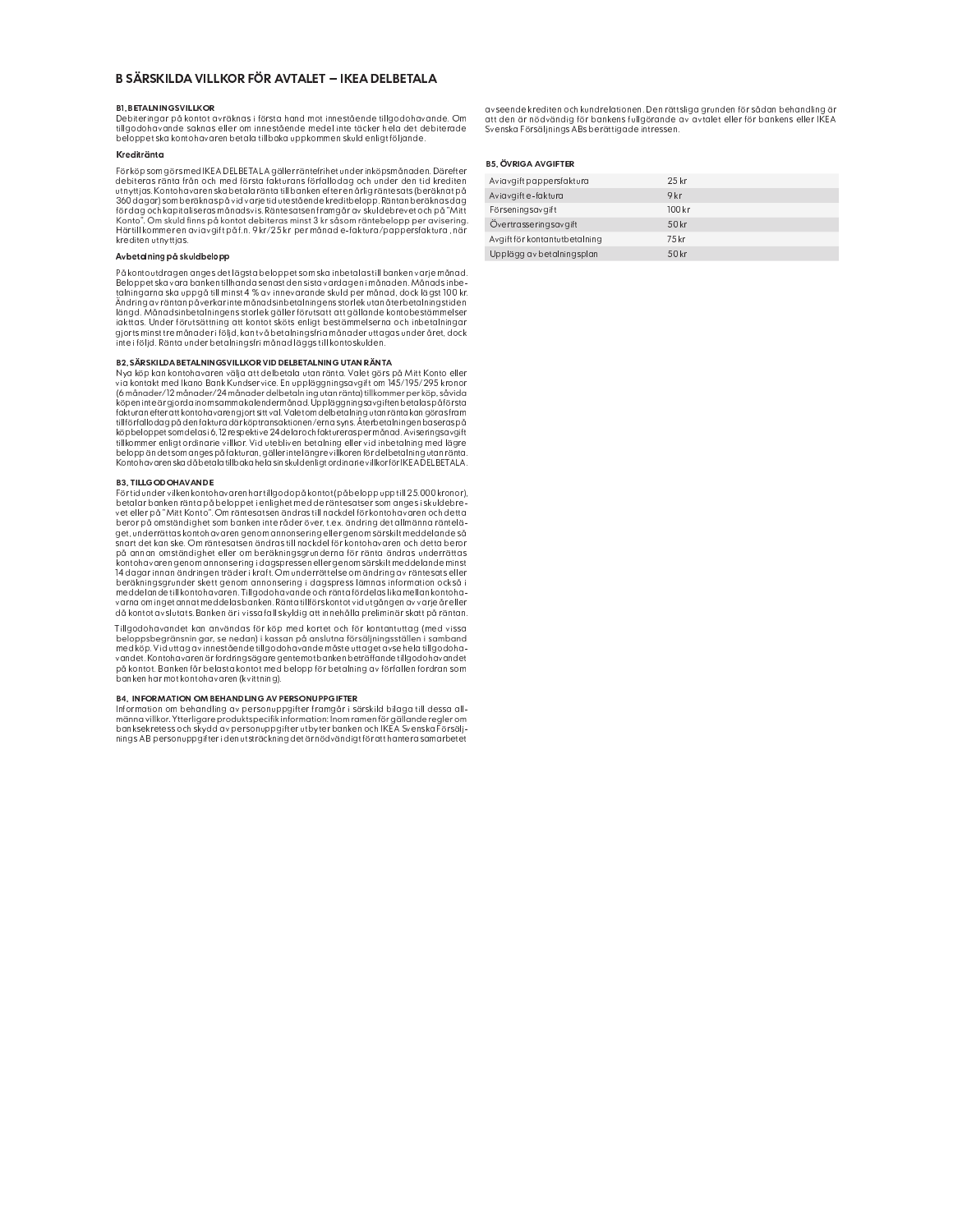# B SÄRSKILDA VILLKOR FÖR AVTALET - IKEA DELBETALA

### **BL RETAL NINGSVILLKOR**

Debiteringar på kontot avräknas i första hand mot innestående tillgodohavande. Om tillgodohavande saknas eller om innestående medel inte täcker hela det debiterade beloppet ska kontohavaren betala tillbaka uppkommen skuld enligtföljande

### Kroditränta

Förköpsomgörsmed|KEADELBETALA gäller räntefrihet under inköpsmånaden. Därefter<br>debiteras ränta från och med första fakturans förfallodag och under den tid krediten eeuneras ranna transportante al instantential banken efter en drilig räntesats (beröknatpå)<br>utnyttjas. Kontohavaren skabetala ränta till banken efter en drilig räntesats (beröknatpå)<br>360 dagar) som beräknas på vid varje ti krediten utnyttias

#### Avbetalning på skuldbelopp

På kontoutdragen anges det lägsta beloppet som ska inbetalas till banken varje månad. r a womooraargemanges accruegous component and a grand and an amount of a behavior and a single supplet ska vara banken till handd senast den sista vardagen i månaden. Månads inbe-<br>talningarna ska uppgå till minst 4 % av i Ändring av räntan påverkar inte månadsinbetalningens storlek utan återbetalningstiden.<br>Ändring av räntan påverkar inte månadsinbetalningens storlek utan återbetalningstiden.<br>I ängd. Månadsinbetalningens storlek gäller föru iaktas. Under förutsättning att kontot sköts enligt bestämmelserna och inbetalningar<br>gjortsminst tre månader i följd, kan två betalningsfriamånader uttagas under året, dock inte i följd. Ränta under betalningsfri månad läggs till kontoskulden.

#### **B2. SÄRSKILDA BETAL NINGSVILLKOR VID DELBETAL NING UTAN RÄNTA**

Mya köp kan kontohavaren välja att delbetala utan ränta. Valet görs på Mitt Konto eller<br>via köp kan kontohavaren välja att delbetala utan ränta. Valet görs på Mitt Konto eller<br>via kontakt med Ikano Bank Kundservice. En upp re normale in the analysis of the matter of the matter of the matter of the matter of the state of the matter<br>Köpen inte är gjorda inom samma kalendermånad. Uppläggningsavgiften betalas på första kopenime argoraaniomi samma kaienemana.<br>Isabel parlamenter attkontohavarengiotsittval. Valetom dels telanja yutanränta kan göras fram<br>Illi förfallo dag på den faktura där köptransaktionen/erna syns. Återbetalningen baseras Konto havaren ska då betala tillbaka hela sin skuld enligt ordinarie villkor för IKEA DELBETALA.

# **B3. TILL GODOH AV ANDE**

Förtid under vilken kontohavaren har tillgodo på kontot (på belopp upp till 25.000 kronor), betalar bankenränta på beloppet i enlighet med de räntesatser som anges i skuldebre-<br>vet eller på "Mitt Konto". Om räntesatsen ändras till nackdel för kontohavaren och detta beror på omständighet som banken inte råder över, t.ex. ändring det allmänna räntelä-<br>get, underrättas kontohavaren genom annonsering eller genom särskilt meddelande så<br>snart det kan ske. Om räntesatsen ändras till nackdel sincrueix com transistementaris un incicle alle proportional proportional proportion and a distribution of the<br>på annan omständighet eller om beräkhingsgrunderna för ränta ändras underrättas<br>kontohavaren genom annonsering varna om inget annat meddelas banken. Ränta tillförs kontot vid utgången av varje år eller<br>då kontot avslutats. Banken är i vissa fall skyldig att innehålla preliminär skatt på räntan.

Tillgodohavandet kan användas för köp med kortet och för kontantuttag (med vissa beloppsbegränsningar, se nedan) i kassan på anslutna försäljningsställen i samband<br>med köp. Vid uttag av innestående tillgodohavande måste uttaget avse hela tillgodohavandet. Kontohavaren är fordringsägare gentemotbanken beträffande tillgodohavandet<br>på kontot. Banken får belasta kontot med belopp för betalning av förfallen fordran som banken har mot kontohavaren (kvittning).

#### **B4. INFORMATION OM BEHANDLING AV PERSONUPPGIFTER**

behavior on behavior of preson the present term of the instant of the line of the information on behavior in preson the present of the instant of the main of the main of the main of the main of the main of the main of the

avseende krediten och kundrelationen. Den rättsliga grunden för sådan behandling är<br>att den är nödvändig för bankens fullgörande av avtalet eller för bankens eller IKEA<br>Svenska Försäljnings ABs berättigade intressen.

# **B5. ÖVRIGA AVGIFTER**

| Aviavgift pappersfaktura      | 25kr   |
|-------------------------------|--------|
| Aviavgifte-faktura            | 9 kr   |
| Förseningsavgift              | 100 kr |
| Övertrasseringsavgift         | 50 kr  |
| Avgift för kontantutbetalning | 75 kr  |
| Upplägg av betalningsplan     | 50 kr  |